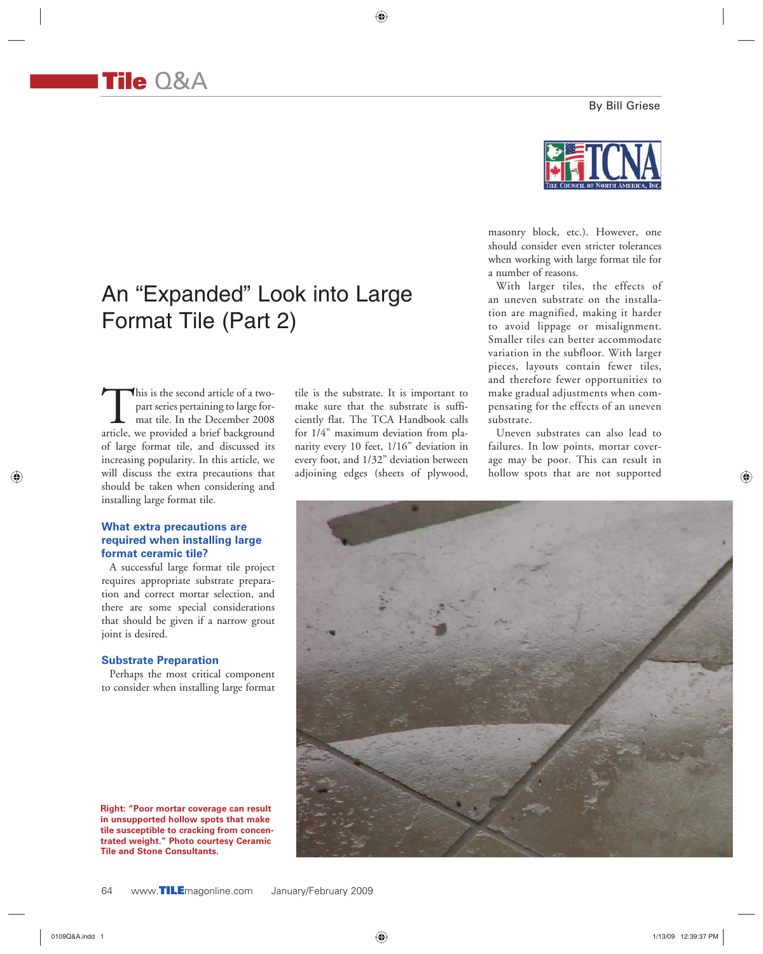⊕

tile is the substrate. It is important to make sure that the substrate is sufficiently flat. The TCA Handbook calls for 1/4" maximum deviation from planarity every 10 feet, 1/16" deviation in every foot, and 1/32" deviation between adjoining edges (sheets of plywood,

## By Bill Griese



masonry block, etc.). However, one should consider even stricter tolerances when working with large format tile for a number of reasons.

With larger tiles, the effects of an uneven substrate on the installation are magnified, making it harder to avoid lippage or misalignment. Smaller tiles can better accommodate variation in the subfloor. With larger pieces, layouts contain fewer tiles, and therefore fewer opportunities to make gradual adjustments when compensating for the effects of an uneven substrate.

Uneven substrates can also lead to failures. In low points, mortar coverage may be poor. This can result in hollow spots that are not supported



An "Expanded" Look into Large Format Tile (Part 2)

This is the second article of a two-<br>part series pertaining to large for-<br>mat tile. In the December 2008<br>article, we provided a brief background part series pertaining to large format tile. In the December 2008 of large format tile, and discussed its increasing popularity. In this article, we will discuss the extra precautions that should be taken when considering and installing large format tile.

**Tile** Q&A

### **What extra precautions are required when installing large format ceramic tile?**

A successful large format tile project requires appropriate substrate preparation and correct mortar selection, and there are some special considerations that should be given if a narrow grout joint is desired.

#### **Substrate Preparation**

Perhaps the most critical component to consider when installing large format

**Right: "Poor mortar coverage can result in unsupported hollow spots that make tile susceptible to cracking from concentrated weight." Photo courtesy Ceramic Tile and Stone Consultants.**

◈

0109Q&A.indd 1 1/13/09 12:39:37 PM

♠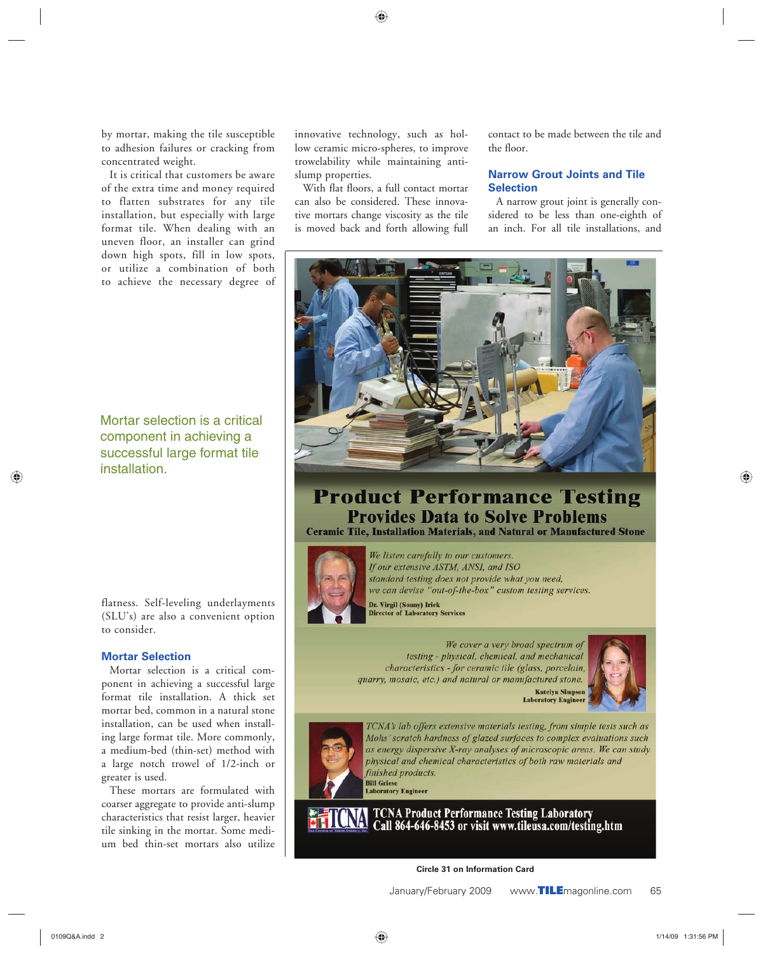⊕

by mortar, making the tile susceptible to adhesion failures or cracking from concentrated weight.

It is critical that customers be aware of the extra time and money required to flatten substrates for any tile installation, but especially with large format tile. When dealing with an uneven floor, an installer can grind down high spots, fill in low spots, or utilize a combination of both to achieve the necessary degree of innovative technology, such as hollow ceramic micro-spheres, to improve trowelability while maintaining antislump properties.

With flat floors, a full contact mortar can also be considered. These innovative mortars change viscosity as the tile is moved back and forth allowing full contact to be made between the tile and the floor.

## **Narrow Grout Joints and Tile Selection**

A narrow grout joint is generally considered to be less than one-eighth of an inch. For all tile installations, and



# **Product Performance Testing Provides Data to Solve Problems Ceramic Tile, Installation Materials, and Natural or Manufactured Stone**



We listen carefully to our customers. If our extensive ASTM, ANSI, and ISO standard testing does not provide what you need, we can devise "out-of-the-box" custom testing services.

**Dr. Virgil (Sonny) Irick<br>Director of Laboratory Services** 

#### We cover a very broad spectrum of testing - physical, chemical, and mechanical characteristics - for ceramic tile (glass, porcelain, quarry, mosaic, etc.) and natural or manufactured stone. **Katelyn Simpso**





TCNA's lab offers extensive materials testing, from simple tests such as Mohs' scratch hardness of glazed surfaces to complex evaluations such as energy dispersive X-ray analyses of microscopic areas. We can study physical and chemical characteristics of both raw materials and finished products. **Bill Griese** <mark>виг Griese</mark><br>Laboratory Engineer

**TCNA Product Performance Testing Laboratory** Call 864-646-8453 or visit www.tileusa.com/testing.htm

**Circle 31 on Information Card**

January/February 2009 www.**TILE**magonline.com 65

Mortar selection is a critical component in achieving a successful large format tile installation.

flatness. Self-leveling underlayments (SLU's) are also a convenient option to consider.

## **Mortar Selection**

Mortar selection is a critical component in achieving a successful large format tile installation. A thick set mortar bed, common in a natural stone installation, can be used when installing large format tile. More commonly, a medium-bed (thin-set) method with a large notch trowel of 1/2-inch or greater is used.

These mortars are formulated with coarser aggregate to provide anti-slump characteristics that resist larger, heavier tile sinking in the mortar. Some medium bed thin-set mortars also utilize

◈

♠